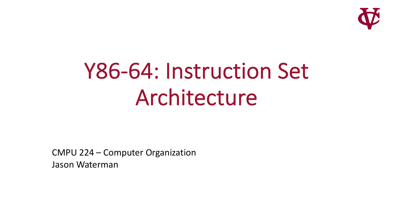

# Y86-64: Instruction Set Architecture

CMPU 224 – Computer Organization Jason Waterman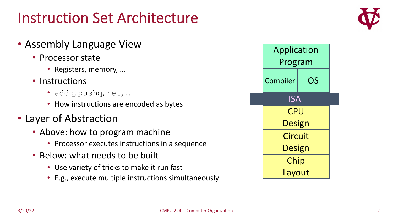#### Instruction Set Architecture

- Assembly Language View
	- Processor state
		- Registers, memory, …
	- Instructions
		- addq, pushq, ret, …
		- How instructions are encoded as bytes
- Layer of Abstraction
	- Above: how to program machine
		- Processor executes instructions in a sequence
	- Below: what needs to be built
		- Use variety of tricks to make it run fast
		- E.g., execute multiple instructions simultaneously

| Application               |    |  |  |  |
|---------------------------|----|--|--|--|
| Program                   |    |  |  |  |
| Compiler                  | OS |  |  |  |
| $\overline{\mathsf{ISA}}$ |    |  |  |  |
| <b>CPU</b>                |    |  |  |  |
| <b>Design</b>             |    |  |  |  |
| <b>Circuit</b>            |    |  |  |  |
| <b>Design</b>             |    |  |  |  |
| Chip                      |    |  |  |  |
| Layout                    |    |  |  |  |

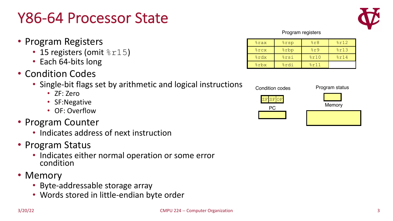#### Y86-64 Processor State

- Program Registers
	- 15 registers (omit  $8r15$ )
	- Each 64-bits long
- Condition Codes
	- Single-bit flags set by arithmetic and logical instructions
		- ZF: Zero
		- SF:Negative
		- OF: Overflow
- Program Counter
	- Indicates address of next instruction
- Program Status
	- Indicates either normal operation or some error condition
- Memory
	- Byte-addressable storage array
	- Words stored in little-endian byte order

| <b>&amp;rax</b> | <b>&amp;rsp</b>        | 8r8  | 8r12 |
|-----------------|------------------------|------|------|
| $rac{1}{6}$ rcx | <i><b>&amp;rbp</b></i> | 8r9  | 8r13 |
| %rdx            | <b>&amp;rsi</b>        | 8r10 | 8r14 |
| %rbx            | %rdi                   | 8r11 |      |



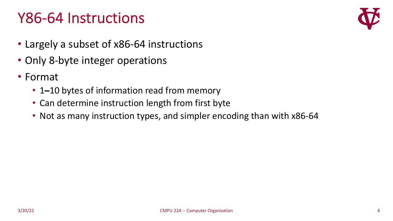#### Y86-64 Instructions



- Largely a subset of x86-64 instructions
- Only 8-byte integer operations
- Format
	- 1-10 bytes of information read from memory
	- Can determine instruction length from first byte
	- Not as many instruction types, and simpler encoding than with x86-64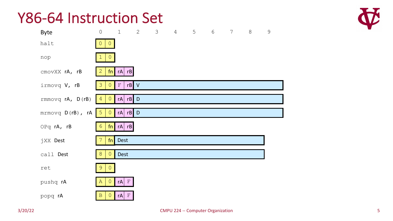#### Y86-64 Instruction Set

| <b>Byte</b>            | $\mathsf{O}$                           | $\mathbf 1$        | $\mathbf{2}$ | 3 | $\overline{4}$ | 5 | $\sqrt{6}$ | $\overline{7}$ | $8\,$ | $\mathcal{G}$ |
|------------------------|----------------------------------------|--------------------|--------------|---|----------------|---|------------|----------------|-------|---------------|
| halt                   | 0<br>$\circ$                           |                    |              |   |                |   |            |                |       |               |
| nop                    |                                        |                    |              |   |                |   |            |                |       |               |
| cmovXX rA, rB          | $\overline{2}$                         | $fn$ rA rB         |              |   |                |   |            |                |       |               |
| irmovq V, rB           | $\overline{O}$<br>3                    | $\mathbf{F}% _{0}$ | $rB$ V       |   |                |   |            |                |       |               |
| rmmovq rA, D(rB)       | $\overline{0}$<br>$\overline{4}$       | $rA$ $rB$ $D$      |              |   |                |   |            |                |       |               |
| $m$ rmovq $D(rB)$ , rA | 5<br>$\begin{pmatrix} 0 \end{pmatrix}$ | $rA$ $rB$ $D$      |              |   |                |   |            |                |       |               |
| OPq rA, rB             | $\overline{6}$                         | $fn$ rA rB         |              |   |                |   |            |                |       |               |
| jXX Dest               | fn                                     | Dest               |              |   |                |   |            |                |       |               |
| call Dest              | $\theta$<br>8                          | <b>Dest</b>        |              |   |                |   |            |                |       |               |
| ret                    | 9<br>$\Omega$                          |                    |              |   |                |   |            |                |       |               |
| pushq rA               | $\overline{0}$<br>A                    | $\mathbb F$<br>rA  |              |   |                |   |            |                |       |               |
| popq rA                | $\overline{0}$<br>$\mathbf B$          | $\mathbf F$<br>rA  |              |   |                |   |            |                |       |               |

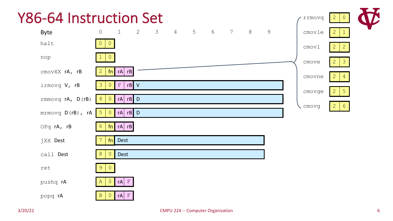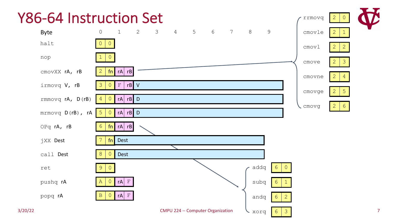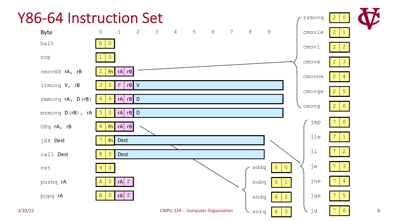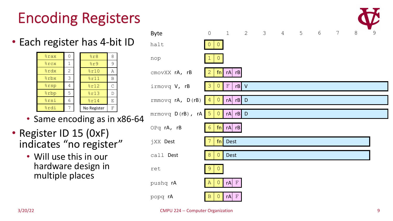## Encoding Registers

• Each register has 4 -bit ID

| <b>&amp;rax</b> | Ω              | 8r8         | 8 |
|-----------------|----------------|-------------|---|
| %rcx            | 1              | 8r9         | 9 |
| %rdx            | $\overline{2}$ | 8r10        | А |
| %rbx            | 3              | 8r11        | В |
| <b>&amp;rsp</b> |                | 8r12        | C |
| %rbp            | 5              | 8r13        | D |
| %rsi            | 6              | 8r14        | E |
| %rdi            |                | No Register | F |

- Same encoding as in x86 -64
- Register ID 15 (0xF) indicates "no register"
	- Will use this in our hardware design in multiple places

|                  |                                    |                                             |  |  |                 |       | W |
|------------------|------------------------------------|---------------------------------------------|--|--|-----------------|-------|---|
| <b>Byte</b>      | $\circ$                            | $1 \quad 2 \quad 3 \quad 4 \quad 5 \quad 6$ |  |  | $7\overline{ }$ | $8\,$ | 9 |
| halt             |                                    |                                             |  |  |                 |       |   |
| nop              |                                    |                                             |  |  |                 |       |   |
| cmovXX rA, rB    | fn<br>2                            | rA rB                                       |  |  |                 |       |   |
| irmovq V, rB     | $\overline{0}$<br>3                | $\mathbf{F}% _{0}$<br>$rB$ V                |  |  |                 |       |   |
| rmmovq rA, D(rB) | $\overline{0}$<br>$\overline{4}$   | $rA$ $rB$ $D$                               |  |  |                 |       |   |
| mrmovq D(rB), rA | $5\overline{)}$<br>$\vert 0 \vert$ | $rA$ $rB$ D                                 |  |  |                 |       |   |
| OPq rA, rB       | 6                                  | $fn$ $rA$ $rB$                              |  |  |                 |       |   |
| jXX Dest         | fn                                 | Dest                                        |  |  |                 |       |   |
| call Dest        | 8<br>$\overline{O}$                | <b>Dest</b>                                 |  |  |                 |       |   |
| ret              | 9                                  |                                             |  |  |                 |       |   |
| pushq rA         | $\mathcal{A}$<br>$\circ$           | $rA$ $F$                                    |  |  |                 |       |   |
| popq rA          | $\overline{0}$<br>$\mathbf B$      | $\mathbb F$<br>rA                           |  |  |                 |       |   |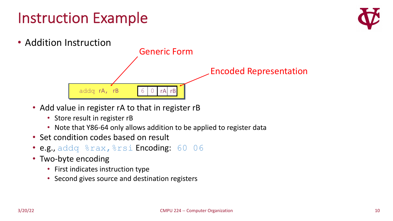### Instruction Example





- Add value in register rA to that in register rB
	- Store result in register rB
	- Note that Y86-64 only allows addition to be applied to register data
- Set condition codes based on result
- e.g., addq %rax, %rsi Encoding: 60 06
- Two-byte encoding
	- First indicates instruction type
	- Second gives source and destination registers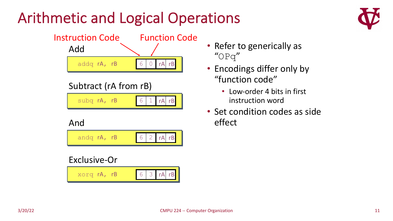## Arithmetic and Logical Operations



- Refer to generically as "OPq"
- Encodings differ only by "function code"
	- Low-order 4 bits in first instruction word
- Set condition codes as side effect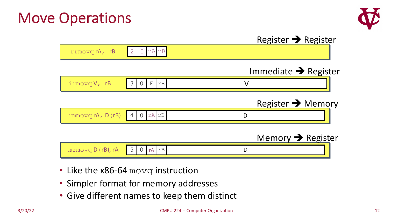#### Move Operations



|                                           |                           | Register $\rightarrow$ Register  |  |
|-------------------------------------------|---------------------------|----------------------------------|--|
| rrmovqrA, rB                              | $rA$ $rB$                 |                                  |  |
|                                           |                           | Immediate $\rightarrow$ Register |  |
| irmovq V, rB                              | 3<br>$\mathbf{F}$<br>rB   |                                  |  |
|                                           |                           | Register $\rightarrow$ Memory    |  |
| rmmovq rA, D(rB)                          | rA<br>rB<br>-4            | D                                |  |
|                                           |                           | Memory $\rightarrow$ Register    |  |
| $m$ $r$ $m$ $o$ $v$ $q$ $D$ $(rB)$ , $rA$ | 5<br>$\theta$<br>rB<br>rA |                                  |  |

- Like the x86-64 movq instruction
- Simpler format for memory addresses
- Give different names to keep them distinct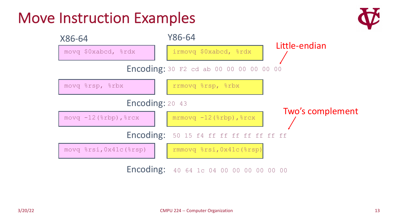#### Move Instruction Examples



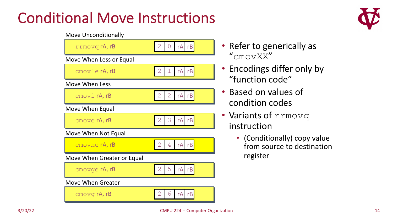### Conditional Move Instructions

#### Move Unconditionally



- Refer to generically as "cmovXX"
- Encodings differ only by "function code"
- Based on values of condition codes
- Variants of rrmovq instruction
	- (Conditionally) copy value from source to destination register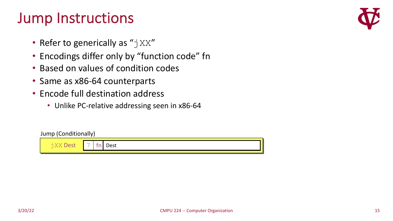#### Jump Instructions

- Refer to generically as " $\exists$  XX"
- Encodings differ only by "function code" fn
- Based on values of condition codes
- Same as x86-64 counterparts
- Encode full destination address
	- Unlike PC-relative addressing seen in x86-64

#### Jump (Conditionally)



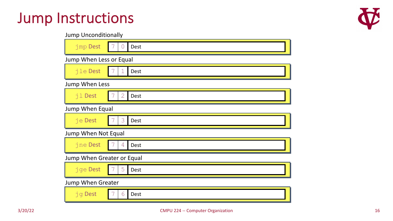#### Jump Instructions



|  | <b>Jump Unconditionally</b> |  |
|--|-----------------------------|--|
|--|-----------------------------|--|

| jmp Dest                   | <b>Dest</b><br>$\cup$ |
|----------------------------|-----------------------|
| Jump When Less or Equal    |                       |
| jle Dest                   | Dest                  |
| Jump When Less             |                       |
| jl Dest                    | $\mathbf{2}$<br>Dest  |
| Jump When Equal            |                       |
| je Dest                    | 3<br>Dest             |
| Jump When Not Equal        |                       |
| jne Dest                   | 4<br>Dest             |
| Jump When Greater or Equal |                       |
| jge Dest                   | 5<br>Dest             |
| <b>Jump When Greater</b>   |                       |
| <b>jg Dest</b>             | 6<br>Dest             |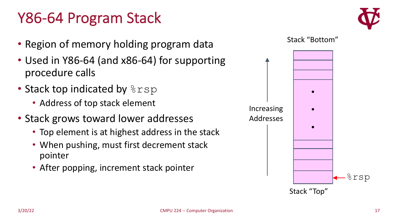#### Y86-64 Program Stack



- Region of memory holding program data
- Used in Y86-64 (and x86-64) for supporting procedure calls
- Stack top indicated by  $8rsp$ 
	- Address of top stack element
- Stack grows toward lower addresses
	- Top element is at highest address in the stack
	- When pushing, must first decrement stack pointer
	- After popping, increment stack pointer



Stack "Top"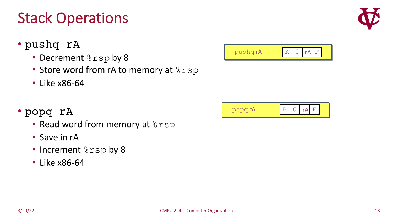# Stack Operations

- pushq rA
	- Decrement  $8rsp$  by 8
	- Store word from rA to memory at  $8rsp$
	- Like x86-64
- popq rA
	- Read word from memory at  $8rsp$
	- Save in rA
	- Increment  $8rsp$  by 8
	- Like x86-64





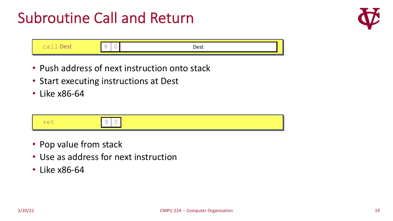### Subroutine Call and Return



|  | ר∩∩ |
|--|-----|
|  |     |

- Push address of next instruction onto stack
- Start executing instructions at Dest
- Like x86-64



- Pop value from stack
- Use as address for next instruction
- Like x86-64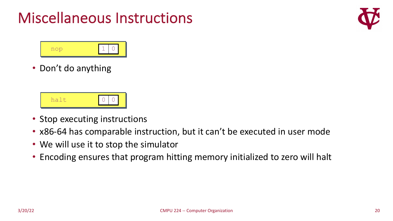### Miscellaneous Instructions





• Don't do anything



- Stop executing instructions
- x86-64 has comparable instruction, but it can't be executed in user mode
- We will use it to stop the simulator
- Encoding ensures that program hitting memory initialized to zero will halt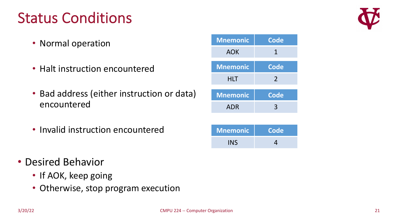### Status Conditions

- Normal operation
- Halt instruction encountered
- Bad address (either instruction or data) encountered
- Invalid instruction encountered
- Desired Behavior
	- If AOK, keep going
	- Otherwise, stop program execution



INS 4

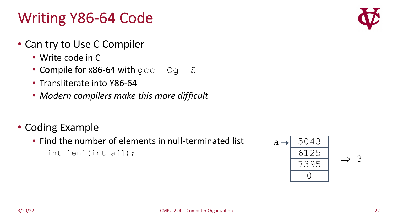## Writing Y86-64 Code

- Can try to Use C Compiler
	- Write code in C
	- Compile for  $x86-64$  with  $qcc -Oq -S$
	- Transliterate into Y86-64
	- *Modern compilers make this more difficult*
- Coding Example
	- Find the number of elements in null-terminated list int len1(int a[]);

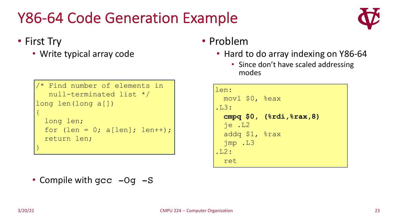## Y86-64 Code Generation Example

#### • First Try

• Write typical array code

```
/* Find number of elements in
  null-terminated list */
long len(long a[])
{
  long len;
 for (len = 0; a[len]; len++);
  return len;
}
```
• Compile with gcc -Og -S

#### • Problem

- Hard to do array indexing on Y86-64
	- Since don't have scaled addressing modes

| len:                 |                            |
|----------------------|----------------------------|
| $mov1$ \$0, $s$ eax  |                            |
| .L3:                 |                            |
|                      | cmpq $$0, (8rdi, 8rax, 8)$ |
| $ie$ . $L2$          |                            |
| addq $$1,$ $$$ rax   |                            |
| $\frac{1}{2}mp$ . L3 |                            |
| .L2:                 |                            |
| ret                  |                            |

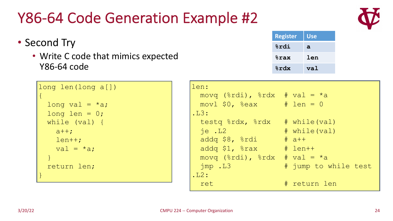#### Y86-64 Code Generation Example #2

|                                                     | <b>&amp;rdx</b> | val                  |  |
|-----------------------------------------------------|-----------------|----------------------|--|
|                                                     |                 |                      |  |
| len:                                                |                 |                      |  |
| movq $(\text{3rdi})$ , $\text{3rdx}$ # val = *a     |                 |                      |  |
| $mov1$ \$0, %eax # len = 0                          |                 |                      |  |
| .L3:                                                |                 |                      |  |
| testq $\text{grad}$ , $\text{grad}$ $\#$ while(val) |                 |                      |  |
| $ie$ . $L2$                                         |                 | # while(val)         |  |
| addq $$8, %rdi$ # a++                               |                 |                      |  |
| addq \$1, %rax # len++                              |                 |                      |  |
| movq $(\text{3rdi})$ , $\text{3rdx}$ # val = *a     |                 |                      |  |
| $\frac{1}{2}mp$ . L3                                |                 | # jump to while test |  |
| .L2:                                                |                 |                      |  |
| ret                                                 |                 | # return len         |  |

• Second Try

 $\{$ 

• Write C code that mimics expected Y86-64 code

| $long$ len = 0; |
|-----------------|
| while (val) {   |
| $a++$ ;         |
| $l$ en++;       |
| val = $*$ a;    |
|                 |
| return len;     |
|                 |
|                 |
|                 |

long len(long a[])

long val =  $*$ a;



**Register Use**

**%rax len**

**%rdi a**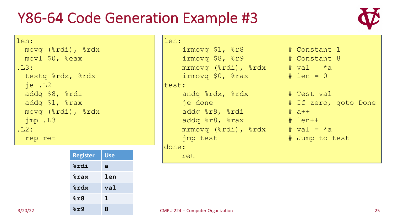#### Y86-64 Code Generation Example #3



len: movq (%rdi), %rdx movl \$0, %eax .L3: testq %rdx, %rdx je .L2 addq \$8, %rdi addq \$1, %rax movq (%rdi), %rdx jmp .L3  $.L2:$ rep ret

| <b>Register</b> | <b>Use</b> |
|-----------------|------------|
| %rdi            | a          |
| <b>&amp;rax</b> | len        |
| 8rdx            | val        |
| 8r8             | 1          |
| 8r9             | 8          |

```
len:
      irmovq $1, r8r8 \# Constant 1
      \frac{1}{2} irmovq $8, \frac{1}{2} \frac{1}{2} \frac{1}{2} \frac{1}{2} \frac{1}{2} \frac{1}{2} \frac{1}{2} \frac{1}{2} \frac{1}{2} \frac{1}{2} \frac{1}{2} \frac{1}{2} \frac{1}{2} \frac{1}{2} \frac{1}{2} \frac{1}{2} \frac{1}{2} \frac{1}{2} \frac{1}{2} \frac{1}{2} 
      mrmovq (\text{3rdi}), \text{3rdx} # val = \text{*a}\frac{1}{2} irmovq $0, \frac{2}{3} rax \frac{4}{3} len = 0
test:
      andq %rdx, %rdx # Test val
      je done \# If zero, goto Done
      addq er9, erdi # a++addq 8r8, 8rax \# len++
      mrmovq (\text{3rdi}), \text{3rdx} # val = \text{*a}imp test \frac{1}{4} Jump to test
done:
```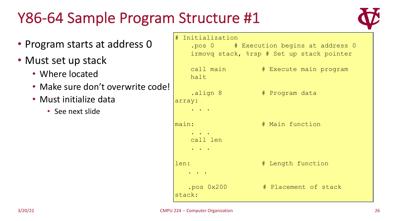### Y86-64 Sample Program Structure #1



• Program starts at address 0 • Must set up stack • Where located • Make sure don't overwrite code! • Must initialize data • See next slide # Initialization .pos 0 # Execution begins at address 0 irmovq stack, %rsp # Set up stack pointer call main  $#$  Execute main program halt .align 8 # Program data array: . . . main: # Main function . . . call len . . . len:  $# Length function$ . . . .pos 0x200 # Placement of stack stack: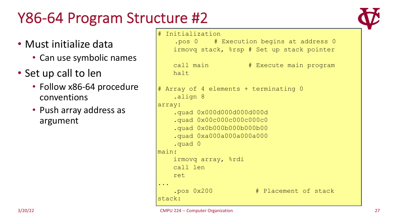## Y86-64 Program Structure #2

- Must initialize data
	- Can use symbolic names
- Set up call to len
	- Follow x86-64 procedure conventions
	- Push array address as argument

#### # Initialization

.pos 0 # Execution begins at address 0 irmovq stack, %rsp # Set up stack pointer

```
call main # Execute main program
   halt
# Array of 4 elements + terminating 0
    .align 8
array:
    .quad 0x000d000d000d000d
    .quad 0x00c000c000c00c0
    .quad 0x0b000b000b000b00
    .quad 0xa000a000a000a000
    .quad 0
main:
   irmovq array, %rdi
   call len
   ret
...
    .pos 0x200 # Placement of stack
stack:
```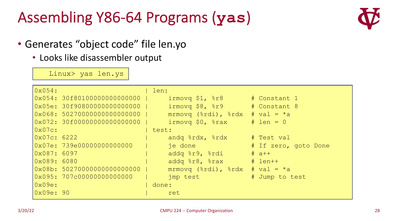## Assembling Y86-64 Programs (**yas**)



#### • Generates "object code" file len.yo

• Looks like disassembler output

Linux> yas len.ys

| 0x054:                      | len:                                                                                                                                                                                                                                                                                                                |                      |
|-----------------------------|---------------------------------------------------------------------------------------------------------------------------------------------------------------------------------------------------------------------------------------------------------------------------------------------------------------------|----------------------|
| 0x054: 30f80100000000000000 | $\frac{1}{2}$ irmovq \$1, $\frac{1}{2}$ r8                                                                                                                                                                                                                                                                          | # Constant 1         |
| 0x05e: 30f90800000000000000 | $\frac{1}{2}$ $\frac{1}{2}$ $\frac{1}{2}$ $\frac{1}{2}$ $\frac{1}{2}$ $\frac{1}{2}$ $\frac{1}{2}$ $\frac{1}{2}$ $\frac{1}{2}$ $\frac{1}{2}$ $\frac{1}{2}$ $\frac{1}{2}$ $\frac{1}{2}$ $\frac{1}{2}$ $\frac{1}{2}$ $\frac{1}{2}$ $\frac{1}{2}$ $\frac{1}{2}$ $\frac{1}{2}$ $\frac{1}{2}$ $\frac{1}{2}$ $\frac{1}{2}$ |                      |
| 0x068: 50270000000000000000 | mrmovq $(\text{3rdi})$ , $\text{3rdx}$ # val = *a                                                                                                                                                                                                                                                                   |                      |
| 0x072: 30f00000000000000000 | $\frac{1}{2}$ irmovq \$0, $\frac{2}{3}$ rax $\frac{1}{4}$ len = 0                                                                                                                                                                                                                                                   |                      |
| $0x07c$ :                   | test:                                                                                                                                                                                                                                                                                                               |                      |
| 0x07c: 6222                 | andq $\text{grad}$ , $\text{grad}$ $\#$ Test val                                                                                                                                                                                                                                                                    |                      |
| 0x07e: 739e00000000000000   | je done i                                                                                                                                                                                                                                                                                                           | # If zero, goto Done |
| 0x087:6097                  | addq %r9, %rdi                                                                                                                                                                                                                                                                                                      | $# a++$              |
| 0x089:6080                  | addq $8r8$ , $8rax$ # len++                                                                                                                                                                                                                                                                                         |                      |
| 0x08b: 50270000000000000000 | mrmovq $(\text{3rdi})$ , $\text{3rdx}$ # val = *a                                                                                                                                                                                                                                                                   |                      |
| 0x095: 707c00000000000000   | imp test                                                                                                                                                                                                                                                                                                            | # Jump to test       |
| $0x09e$ :                   | done:                                                                                                                                                                                                                                                                                                               |                      |
| 0x09e:90                    | ret                                                                                                                                                                                                                                                                                                                 |                      |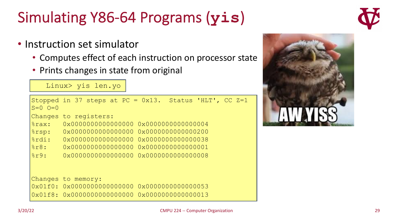3/20/22 CMPU 224 -- Computer Organization 29

## Simulating Y86-64 Programs (**yis**)

• Instruction set simulator

Linux> yis len.yo

- Computes effect of each instruction on processor state
- Prints changes in state from original

```
Stopped in 37 steps at PC = 0x13. Status 'HLT', CC Z=1
S=0 Q=0Changes to registers:
%rax: 0x0000000000000000 0x0000000000000004
%rsp: 0x000000000000000 0x00000000000000200
%rdi: 0x0000000000000000 0x0000000000000038
%r8: 0x0000000000000000 0x0000000000000001
%r9: 0x0000000000000000 0x0000000000000008
Changes to memory:
0x01f0: 0x0000000000000000 0x0000000000000053
0x01f8: 0x0000000000000000 0x0000000000000013
```